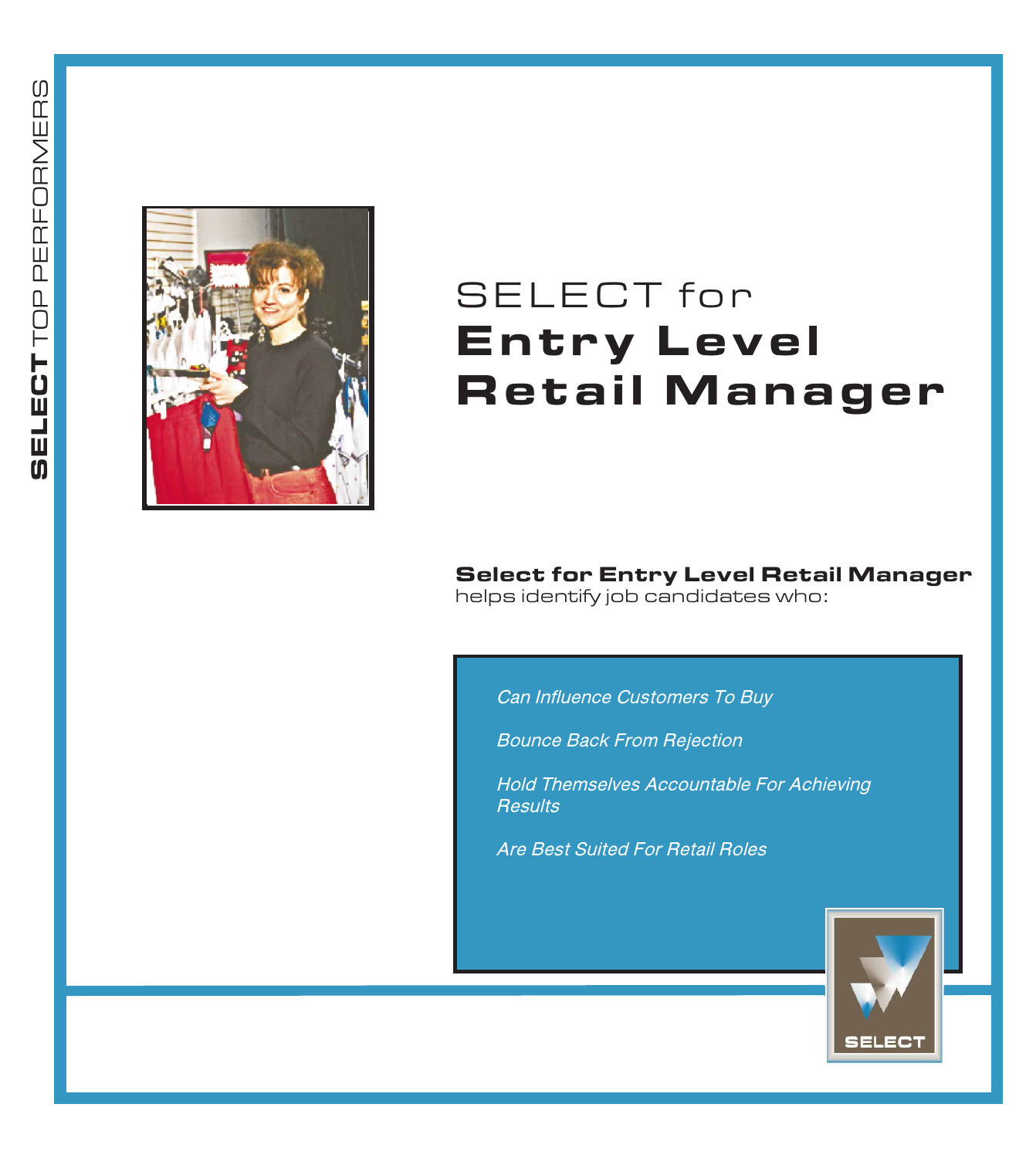

# SELECT for Entry Level **Retail Manager**

Select for Entry Level Retail Manager helps identify job candidates who:

Can Influence Customers To Buy

Bounce Back From Rejection

Hold Themselves Accountable For Achieving **Results** 

Are Best Suited For Retail Roles

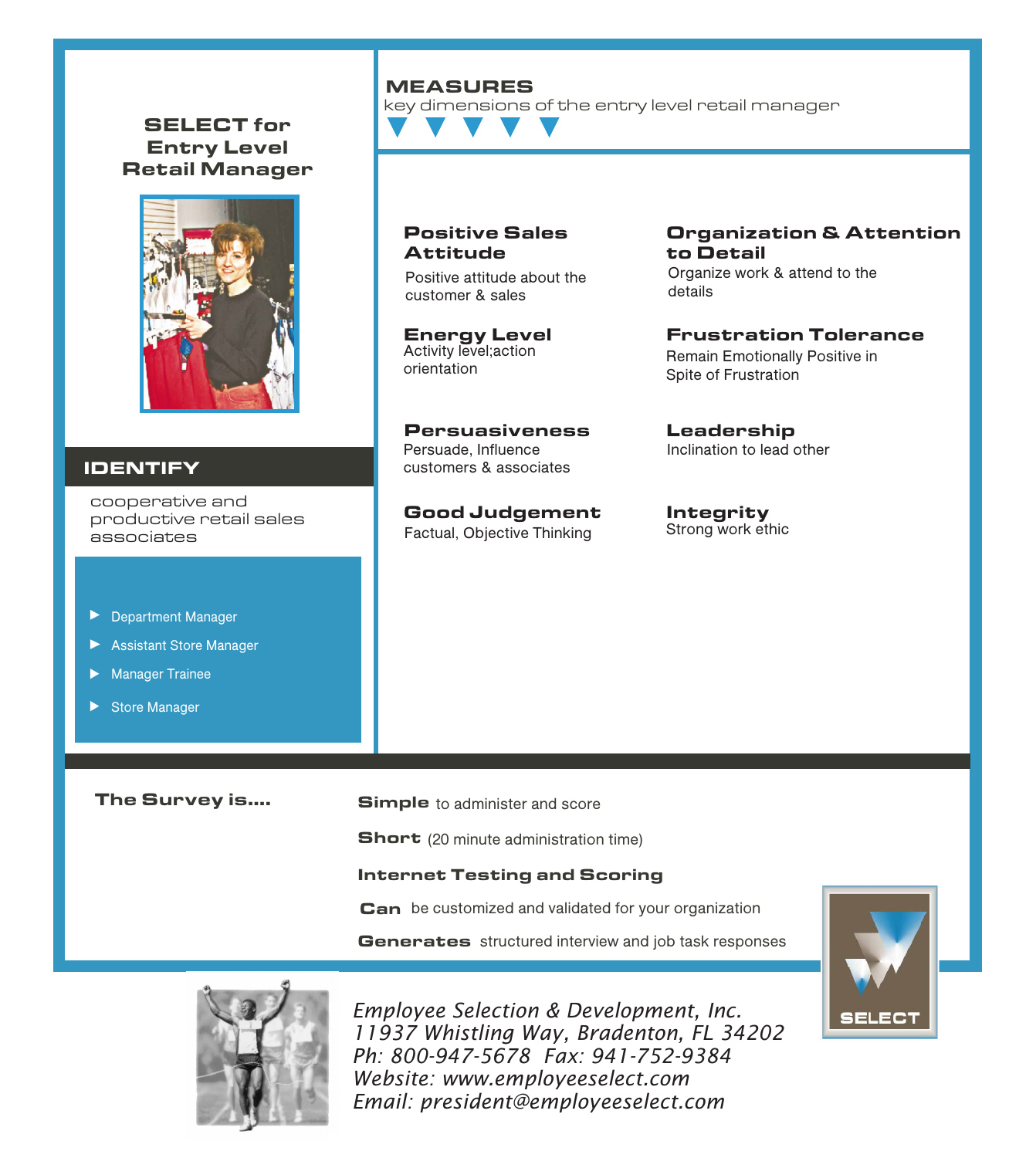#### SELECT for Entry Level Retail Manager



#### IDENTIFY

cooperative and productive retail sales associates

- Department Manager
- Assistant Store Manager
- **Manager Trainee**
- Store Manager

# The Survey is....

**Simple** to administer and score

Short (20 minute administration time)

#### Internet Testing and Scoring

Can be customized and validated for your organization

Generates structured interview and job task responses



*Employee Selection & Development, Inc. 11937 Whistling Way, Bradenton, FL 34202 Ph: 800-947-5678 Fax: 941-752-9384 Website: www.employeeselect.com Email: president@employeeselect.com*

#### Organization & Attention to Detail Organize work & attend to the

details

Frustration Tolerance Remain Emotionally Positive in Spite of Frustration

Leadership Inclination to lead other

Integrity Strong work ethic



#### MEASURES

Positive Sales

Positive attitude about the

Persuasiveness Persuade, Influence customers & associates

Good Judgement Factual, Objective Thinking

Attitude

customer & sales

Energy Level Activity level;action orientation

key dimensions of the entry level retail manager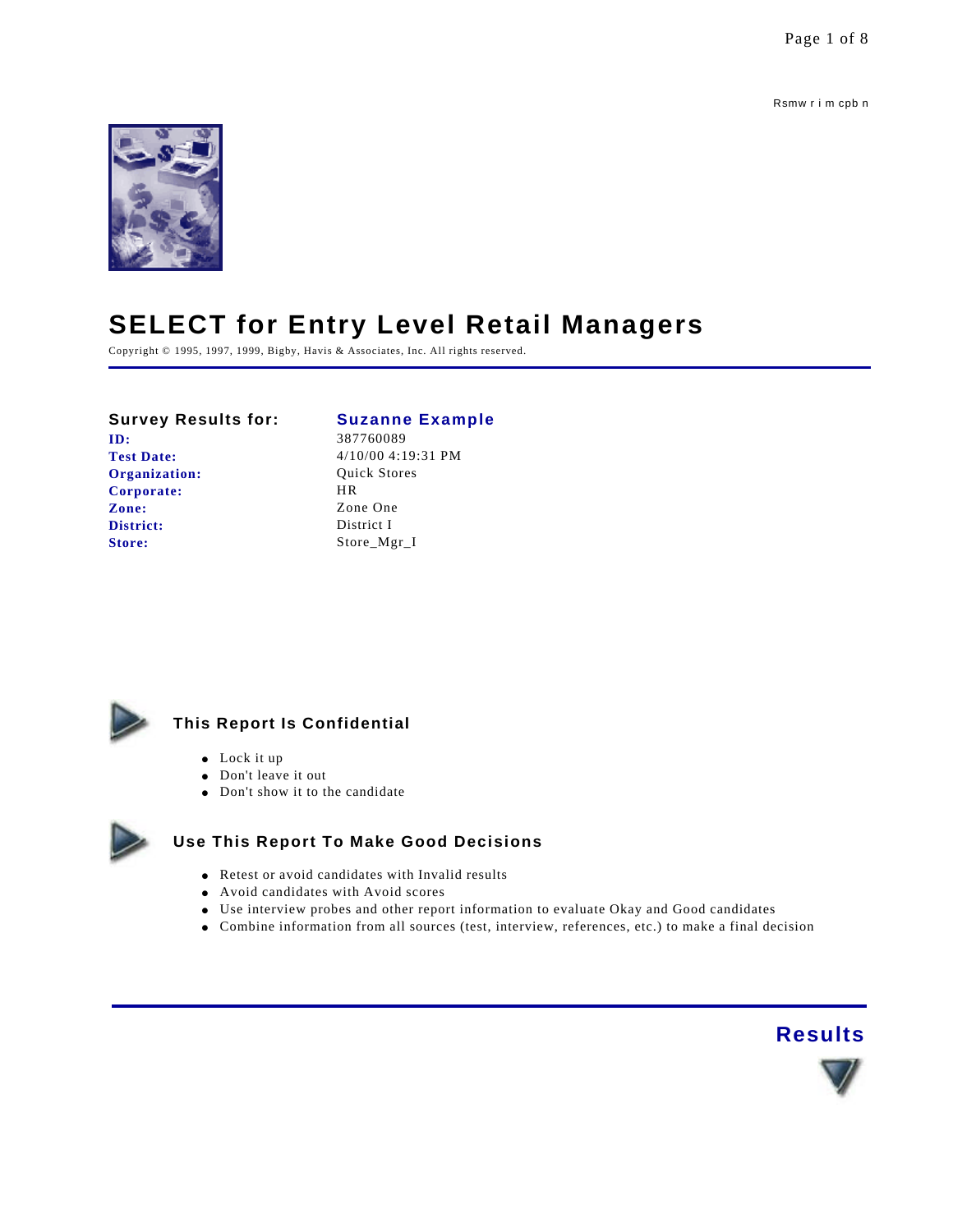Rsmw r i m cpb n



# **SELECT for Entry Level Retail Managers**

Copyright © 1995, 1997, 1999, Bigby, Havis & Associates, Inc. All rights reserved.

#### **Survey Results for: Suzanne Example**

# **ID:** 387760089

**Organization:** Quick Stores **Corporate:** HR **Zone:** Zone One **District:** District I Store: Store\_Mgr\_I

**Test Date:** 4/10/00 4:19:31 PM



# **This Report Is Confidential**

- $\bullet$  Lock it up
- Don't leave it out
- $\bullet$  Don't show it to the candidate



### **Use This Report To Make Good Decisions**

- $\bullet$  Retest or avoid candidates with Invalid results
- Avoid candidates with Avoid scores
- Use interview probes and other report information to evaluate Okay and Good candidates
- l Combine information from all sources (test, interview, references, etc.) to make a final decision

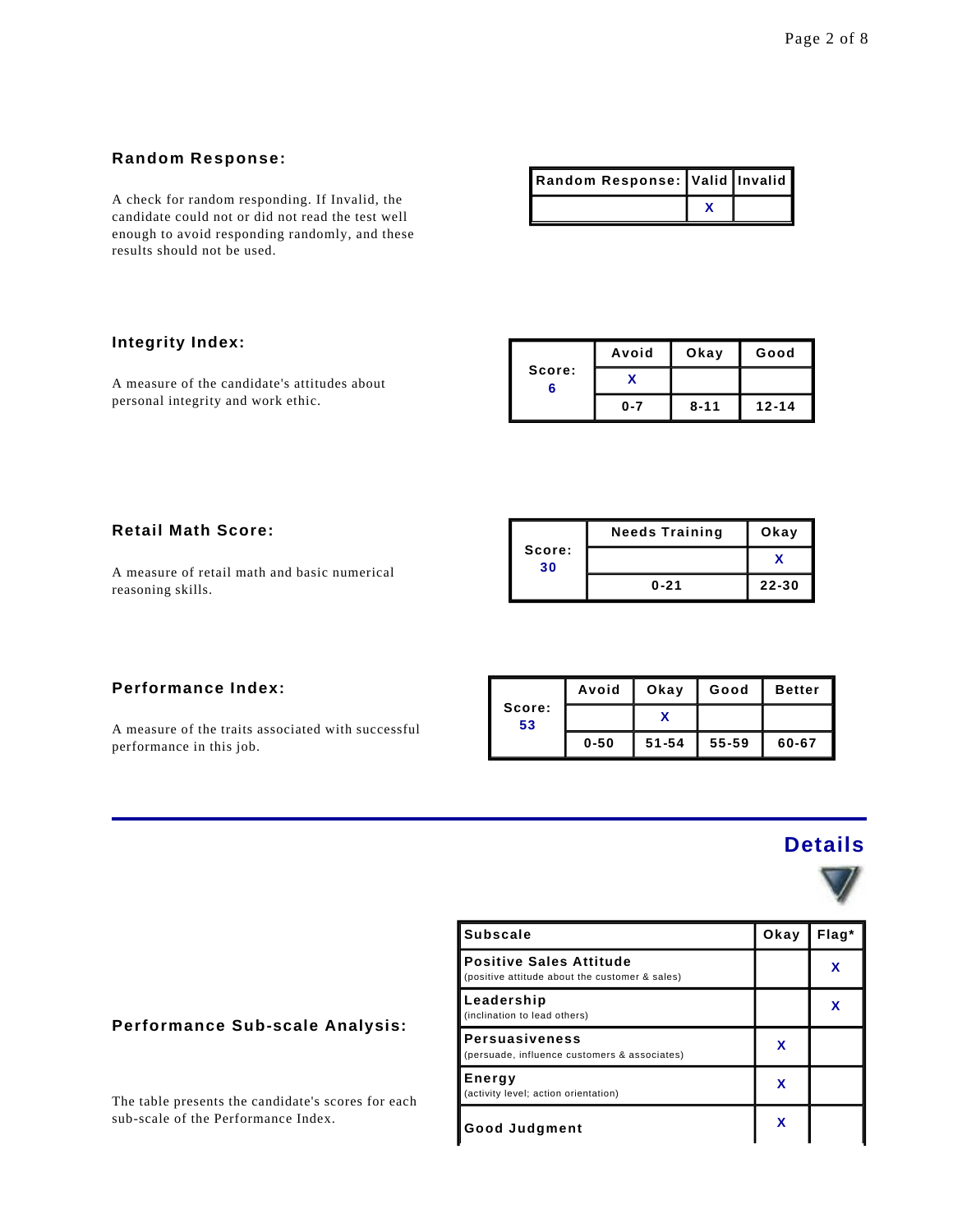#### **Random Response:**

A check for random responding. If Invalid, the candidate could not or did not read the test well enough to avoid responding randomly, and these results should not be used.

| Random Response: Valid Invalid I |  |
|----------------------------------|--|
|                                  |  |

#### **Integrity Index:**

A measure of the candidate's attitudes about personal integrity and work ethic.

|             | Avoid   | Okay     | Good      |
|-------------|---------|----------|-----------|
| Score:<br>6 |         |          |           |
|             | $0 - 7$ | $8 - 11$ | $12 - 14$ |

### **Retail Math Score:**

A measure of retail math and basic numerical reasoning skills.

|              | <b>Needs Training</b> | Okay      |
|--------------|-----------------------|-----------|
| Score:<br>30 |                       |           |
|              | $0 - 21$              | $22 - 30$ |

# **Performance Index:**

A measure of the traits associated with successful performance in this job.

|              | Avoid    | Okay      | Good      | <b>Better</b> |
|--------------|----------|-----------|-----------|---------------|
| Score:<br>53 |          |           |           |               |
|              | $0 - 50$ | $51 - 54$ | $55 - 59$ | 60-67         |

# **Details**



| <b>Subscale</b>                                                                  | Okay | Flag* |
|----------------------------------------------------------------------------------|------|-------|
| <b>Positive Sales Attitude</b><br>(positive attitude about the customer & sales) |      | х     |
| Leadership<br>(inclination to lead others)                                       |      | x     |
| <b>Persuasiveness</b><br>(persuade, influence customers & associates)            | x    |       |
| Energy<br>(activity level; action orientation)                                   | x    |       |
| <b>Good Judgment</b>                                                             | X    |       |

## **Performance Sub-scale Analysis:**

The table presents the candidate's scores for each sub-scale of the Performance Index.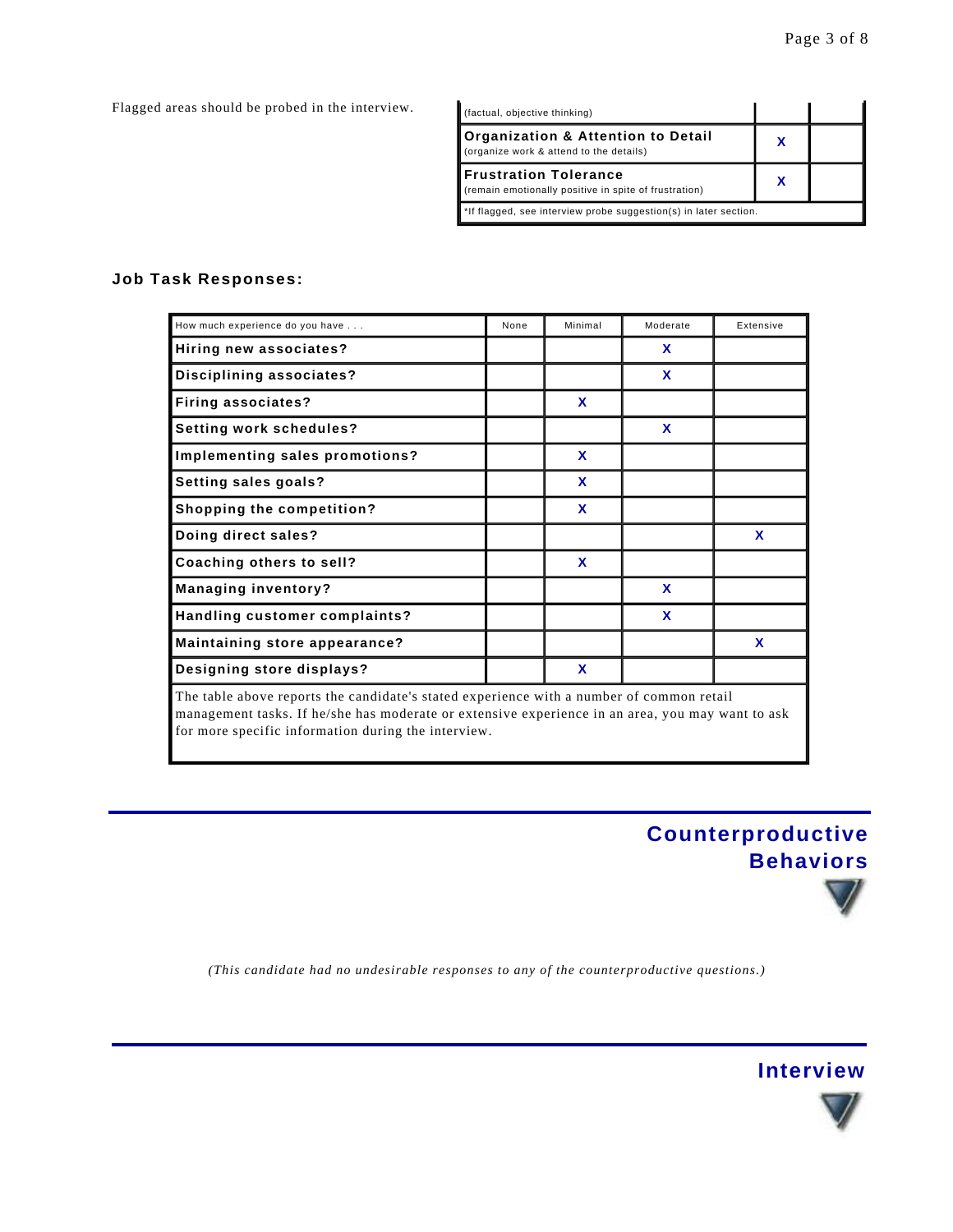Flagged areas should be probed in the interview.

| (factual, objective thinking)                                                          |   |  |
|----------------------------------------------------------------------------------------|---|--|
| Organization & Attention to Detail<br>(organize work & attend to the details)          | х |  |
| <b>IFrustration Tolerance</b><br>(remain emotionally positive in spite of frustration) | х |  |
| *If flagged, see interview probe suggestion(s) in later section.                       |   |  |

#### **Job Task Responses:**

| How much experience do you have                                                                                                                                                              | None | Minimal     | Moderate | Extensive    |  |
|----------------------------------------------------------------------------------------------------------------------------------------------------------------------------------------------|------|-------------|----------|--------------|--|
| Hiring new associates?                                                                                                                                                                       |      |             | X        |              |  |
| Disciplining associates?                                                                                                                                                                     |      |             | X        |              |  |
| <b>Firing associates?</b>                                                                                                                                                                    |      | X           |          |              |  |
| Setting work schedules?                                                                                                                                                                      |      |             | X        |              |  |
| Implementing sales promotions?                                                                                                                                                               |      | $\mathbf x$ |          |              |  |
| Setting sales goals?                                                                                                                                                                         |      | X           |          |              |  |
| <b>Shopping the competition?</b>                                                                                                                                                             |      | $\mathbf x$ |          |              |  |
| Doing direct sales?                                                                                                                                                                          |      |             |          | $\mathbf x$  |  |
| Coaching others to sell?                                                                                                                                                                     |      | X           |          |              |  |
| <b>Managing inventory?</b>                                                                                                                                                                   |      |             | X        |              |  |
| Handling customer complaints?                                                                                                                                                                |      |             | X        |              |  |
| Maintaining store appearance?                                                                                                                                                                |      |             |          | $\mathbf{x}$ |  |
| Designing store displays?                                                                                                                                                                    |      | X           |          |              |  |
| The table above reports the candidate's stated experience with a number of common retail<br>management tasks. If he/she has moderate or extensive experience in an area, you may want to ask |      |             |          |              |  |

for more specific information during the interview.

# **Counterproductive Behaviors**

*(This candidate had no undesirable responses to any of the counterproductive questions.)*



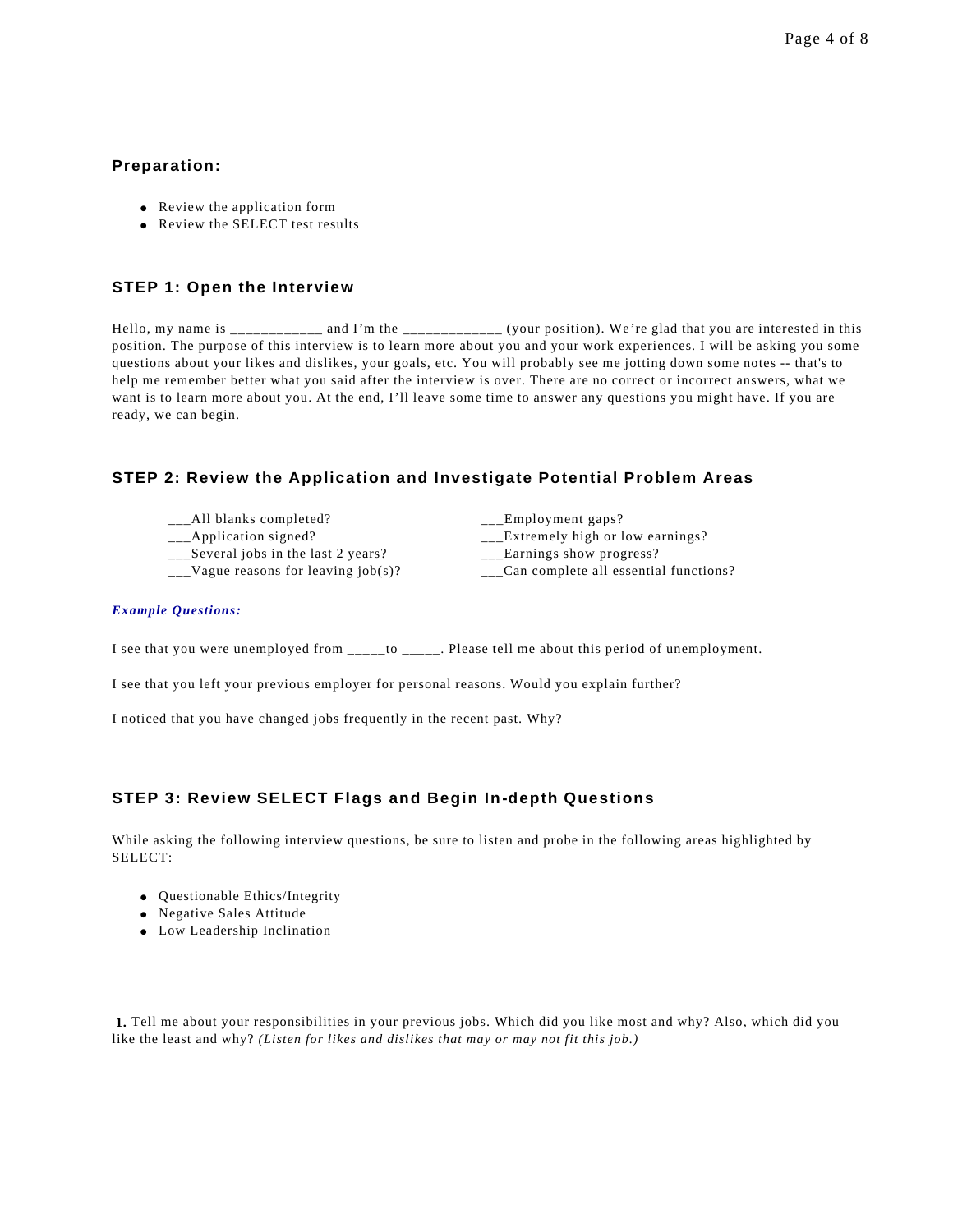#### **Preparation:**

- Review the application form
- Review the SELECT test results

#### **STEP 1: Open the Interview**

Hello, my name is \_\_\_\_\_\_\_\_\_\_\_ and I'm the \_\_\_\_\_\_\_\_\_\_\_\_\_ (your position). We're glad that you are interested in this position. The purpose of this interview is to learn more about you and your work experiences. I will be asking you some questions about your likes and dislikes, your goals, etc. You will probably see me jotting down some notes -- that's to help me remember better what you said after the interview is over. There are no correct or incorrect answers, what we want is to learn more about you. At the end, I'll leave some time to answer any questions you might have. If you are ready, we can begin.

#### **STEP 2: Review the Application and Investigate Potential Problem Areas**

- \_\_All blanks completed? \_\_\_\_\_\_\_\_\_\_\_\_\_\_\_\_\_\_\_\_\_\_Employment gaps?
- 
- 
- 

- \_\_\_Application signed? \_\_\_Extremely high or low earnings?
- \_\_\_Several jobs in the last 2 years? \_\_\_Earnings show progress?
- $\_\_$ Vague reasons for leaving job(s)?  $\_\_$ Can complete all essential functions?

#### *Example Questions:*

I see that you were unemployed from \_\_\_\_\_to \_\_\_\_\_. Please tell me about this period of unemployment.

I see that you left your previous employer for personal reasons. Would you explain further?

I noticed that you have changed jobs frequently in the recent past. Why?

#### **STEP 3: Review SELECT Flags and Begin In-depth Questions**

While asking the following interview questions, be sure to listen and probe in the following areas highlighted by SELECT:

- **.** Questionable Ethics/Integrity
- Negative Sales Attitude
- Low Leadership Inclination

**1.** Tell me about your responsibilities in your previous jobs. Which did you like most and why? Also, which did you like the least and why? *(Listen for likes and dislikes that may or may not fit this job.)*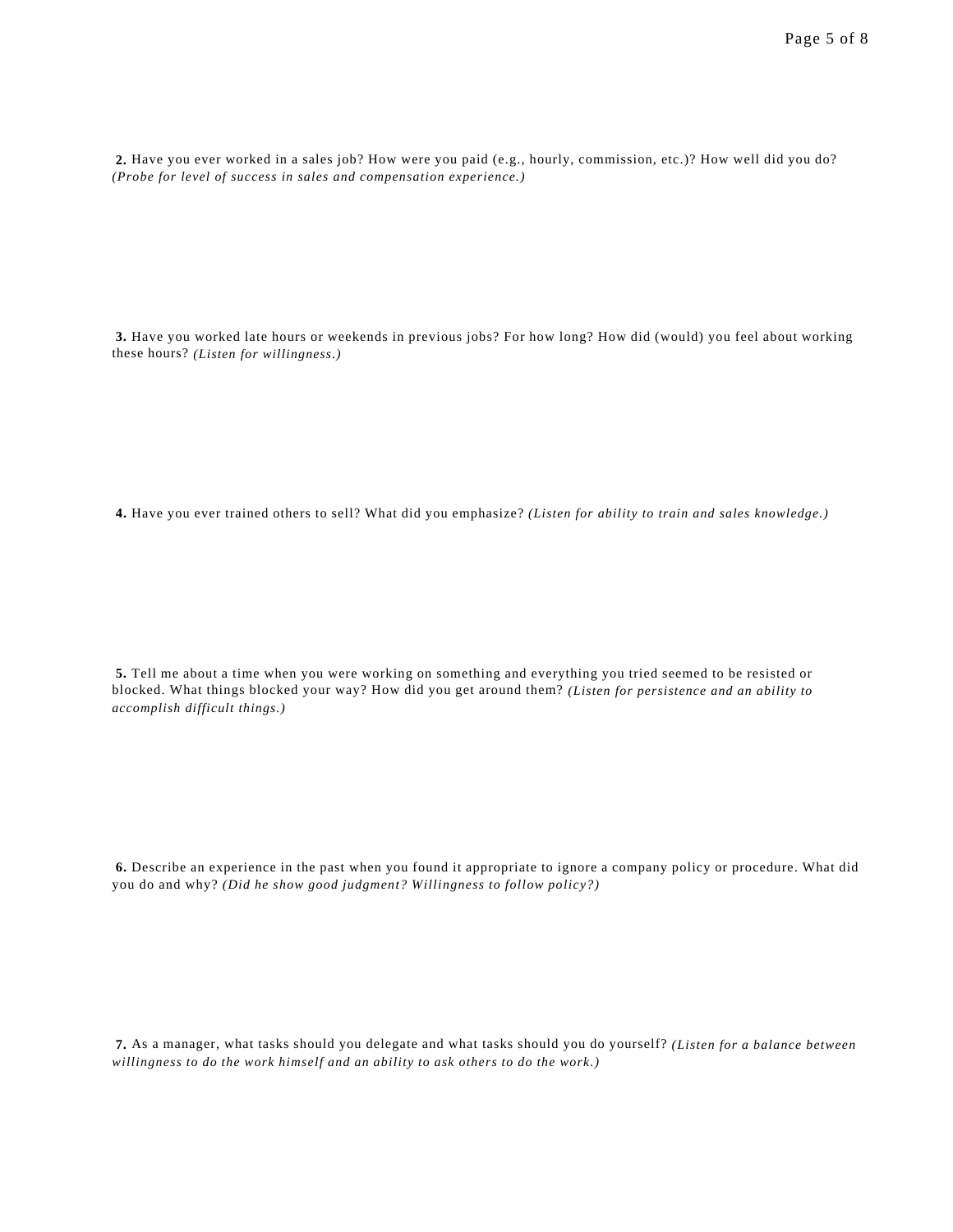**2.** Have you ever worked in a sales job? How were you paid (e.g., hourly, commission, etc.)? How well did you do? *(Probe for level of success in sales and compensation experience.)*

**3.** Have you worked late hours or weekends in previous jobs? For how long? How did (would) you feel about working these hours? *(Listen for willingness.)*

**4.** Have you ever trained others to sell? What did you emphasize? *(Listen for ability to train and sales knowledge.)*

**5.** Tell me about a time when you were working on something and everything you tried seemed to be resisted or blocked. What things blocked your way? How did you get around them? *(Listen for persistence and an ability to accomplish difficult things.)*

**6.** Describe an experience in the past when you found it appropriate to ignore a company policy or procedure. What did you do and why? *(Did he show good judgment? Willingness to follow policy?)*

**7.** As a manager, what tasks should you delegate and what tasks should you do yourself? *(Listen for a balance between willingness to do the work himself and an ability to ask others to do the work.)*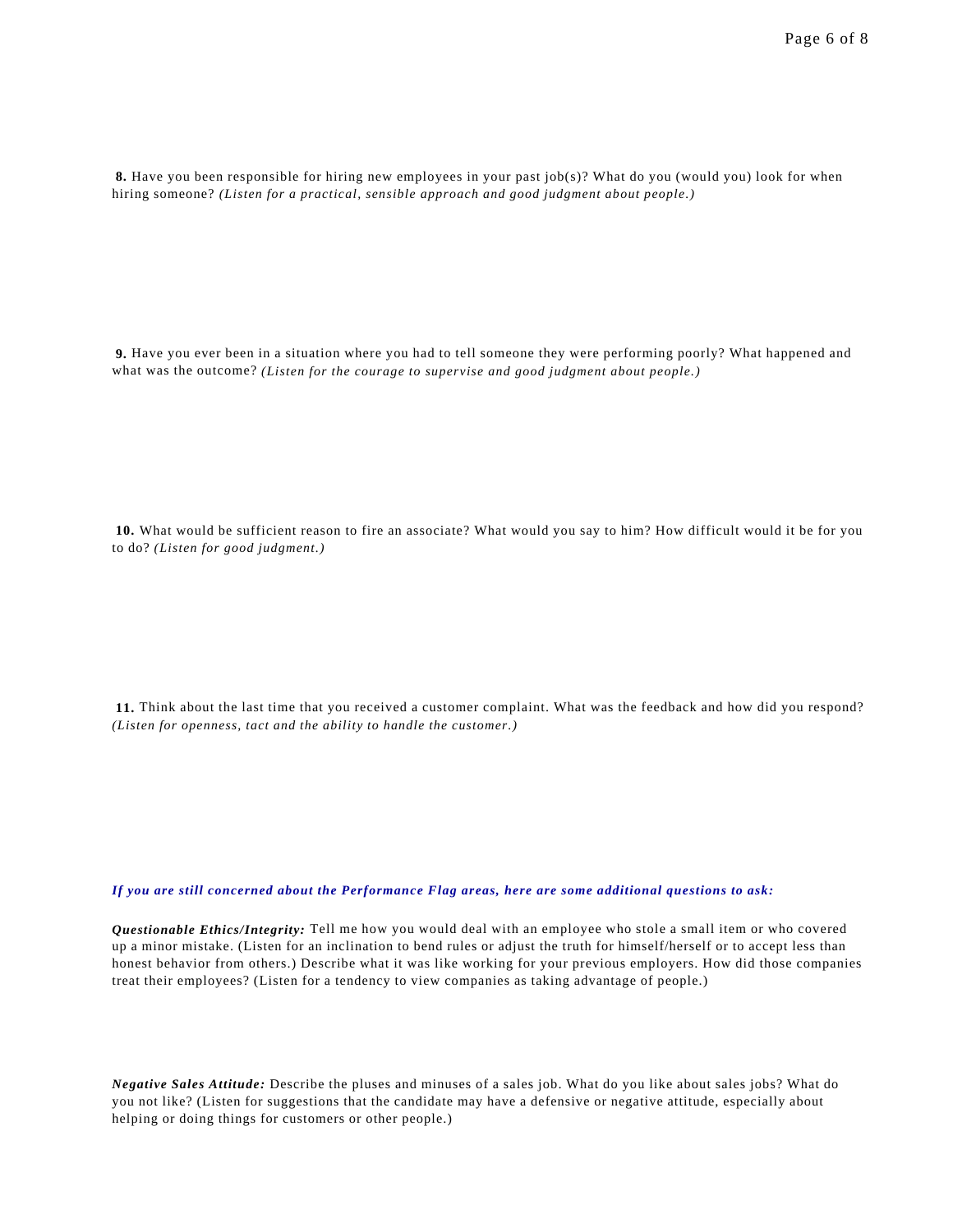**8.** Have you been responsible for hiring new employees in your past job(s)? What do you (would you) look for when hiring someone? *(Listen for a practical, sensible approach and good judgment about people.)*

**9.** Have you ever been in a situation where you had to tell someone they were performing poorly? What happened and what was the outcome? *(Listen for the courage to supervise and good judgment about people.)*

**10.** What would be sufficient reason to fire an associate? What would you say to him? How difficult would it be for you to do? *(Listen for good judgment.)*

**11.** Think about the last time that you received a customer complaint. What was the feedback and how did you respond? *(Listen for openness, tact and the ability to handle the customer.)*

*If you are still concerned about the Performance Flag areas, here are some additional questions to ask:*

*Questionable Ethics/Integrity:* Tell me how you would deal with an employee who stole a small item or who covered up a minor mistake. (Listen for an inclination to bend rules or adjust the truth for himself/herself or to accept less than honest behavior from others.) Describe what it was like working for your previous employers. How did those companies treat their employees? (Listen for a tendency to view companies as taking advantage of people.)

*Negative Sales Attitude:* Describe the pluses and minuses of a sales job. What do you like about sales jobs? What do you not like? (Listen for suggestions that the candidate may have a defensive or negative attitude, especially about helping or doing things for customers or other people.)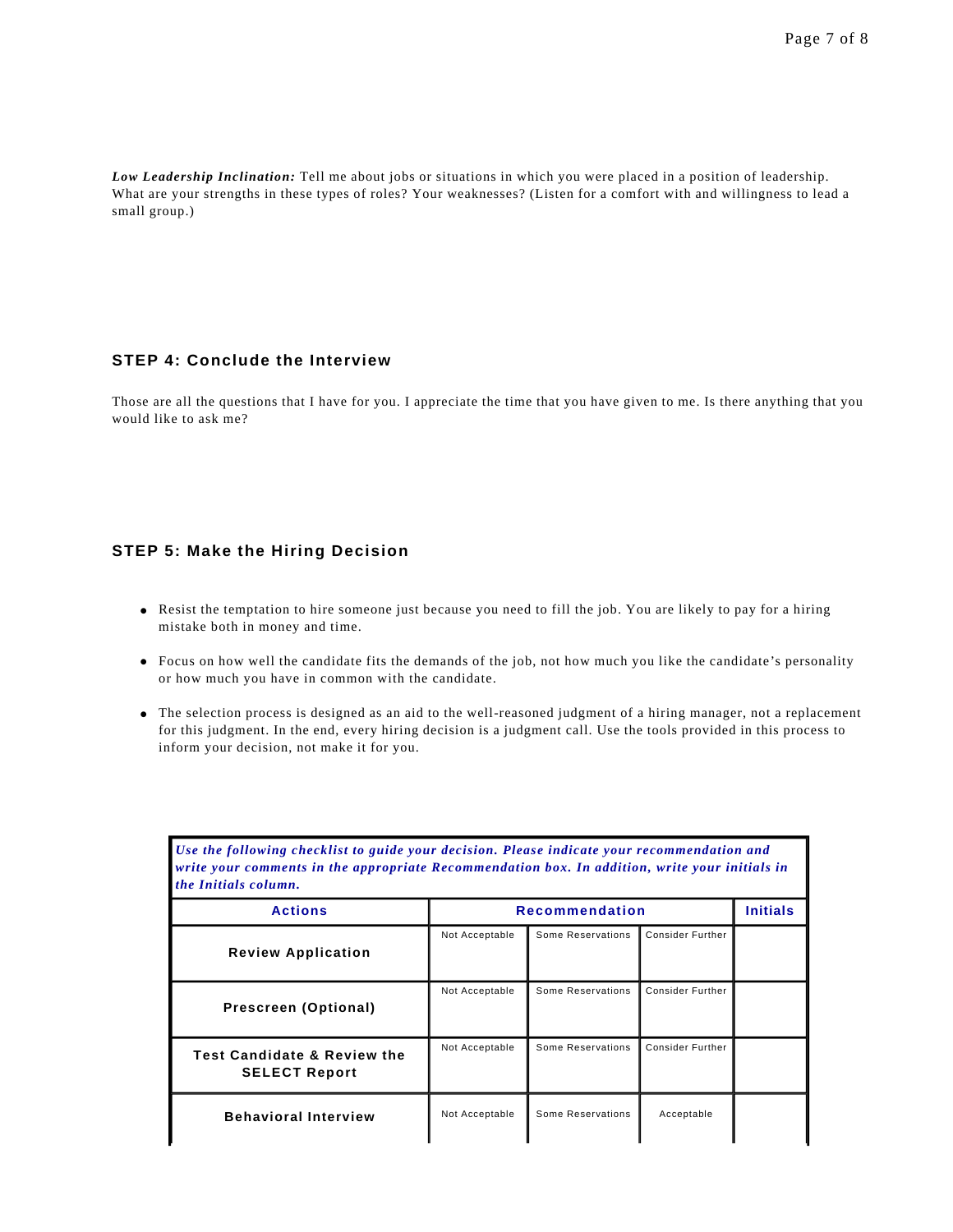*Low Leadership Inclination:* Tell me about jobs or situations in which you were placed in a position of leadership. What are your strengths in these types of roles? Your weaknesses? (Listen for a comfort with and willingness to lead a small group.)

#### **STEP 4: Conclude the Interview**

Those are all the questions that I have for you. I appreciate the time that you have given to me. Is there anything that you would like to ask me?

#### **STEP 5: Make the Hiring Decision**

- Resist the temptation to hire someone just because you need to fill the job. You are likely to pay for a hiring mistake both in money and time.
- Focus on how well the candidate fits the demands of the job, not how much you like the candidate's personality or how much you have in common with the candidate.
- l The selection process is designed as an aid to the well-reasoned judgment of a hiring manager, not a replacement for this judgment. In the end, every hiring decision is a judgment call. Use the tools provided in this process to inform your decision, not make it for you.

| Use the following checklist to guide your decision. Please indicate your recommendation and<br>write your comments in the appropriate Recommendation box. In addition, write your initials in<br>the Initials column. |                |                       |                         |                 |
|-----------------------------------------------------------------------------------------------------------------------------------------------------------------------------------------------------------------------|----------------|-----------------------|-------------------------|-----------------|
| <b>Actions</b>                                                                                                                                                                                                        |                | <b>Recommendation</b> |                         | <b>Initials</b> |
| <b>Review Application</b>                                                                                                                                                                                             | Not Acceptable | Some Reservations     | <b>Consider Further</b> |                 |
| Prescreen (Optional)                                                                                                                                                                                                  | Not Acceptable | Some Reservations     | <b>Consider Further</b> |                 |
| <b>Test Candidate &amp; Review the</b><br><b>SELECT Report</b>                                                                                                                                                        | Not Acceptable | Some Reservations     | Consider Further        |                 |
| <b>Behavioral Interview</b>                                                                                                                                                                                           | Not Acceptable | Some Reservations     | Acceptable              |                 |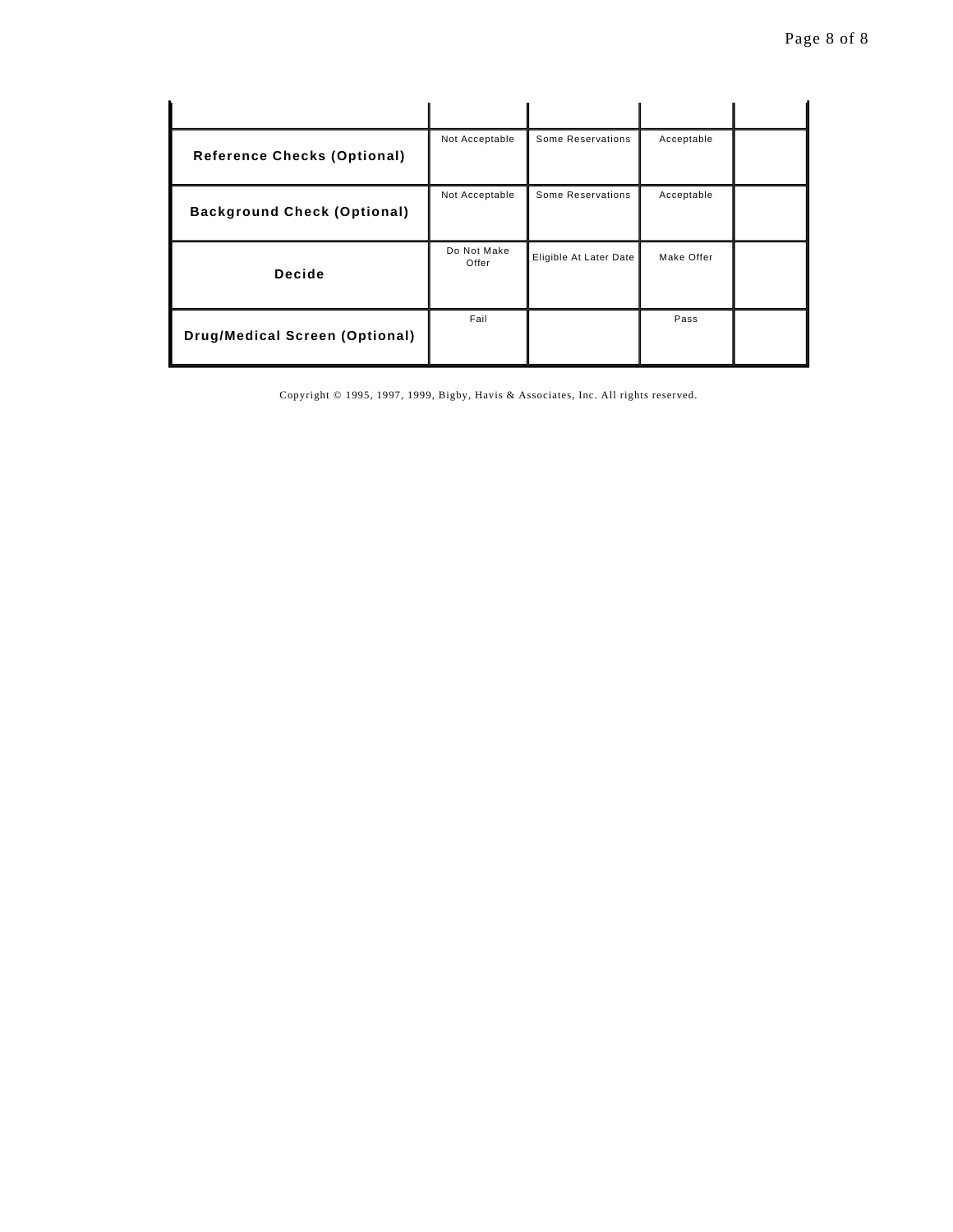| <b>Reference Checks (Optional)</b>    | Not Acceptable       | Some Reservations      | Acceptable |  |
|---------------------------------------|----------------------|------------------------|------------|--|
| <b>Background Check (Optional)</b>    | Not Acceptable       | Some Reservations      | Acceptable |  |
| Decide                                | Do Not Make<br>Offer | Eligible At Later Date | Make Offer |  |
| <b>Drug/Medical Screen (Optional)</b> | Fail                 |                        | Pass       |  |

Copyright © 1995, 1997, 1999, Bigby, Havis & Associates, Inc. All rights reserved.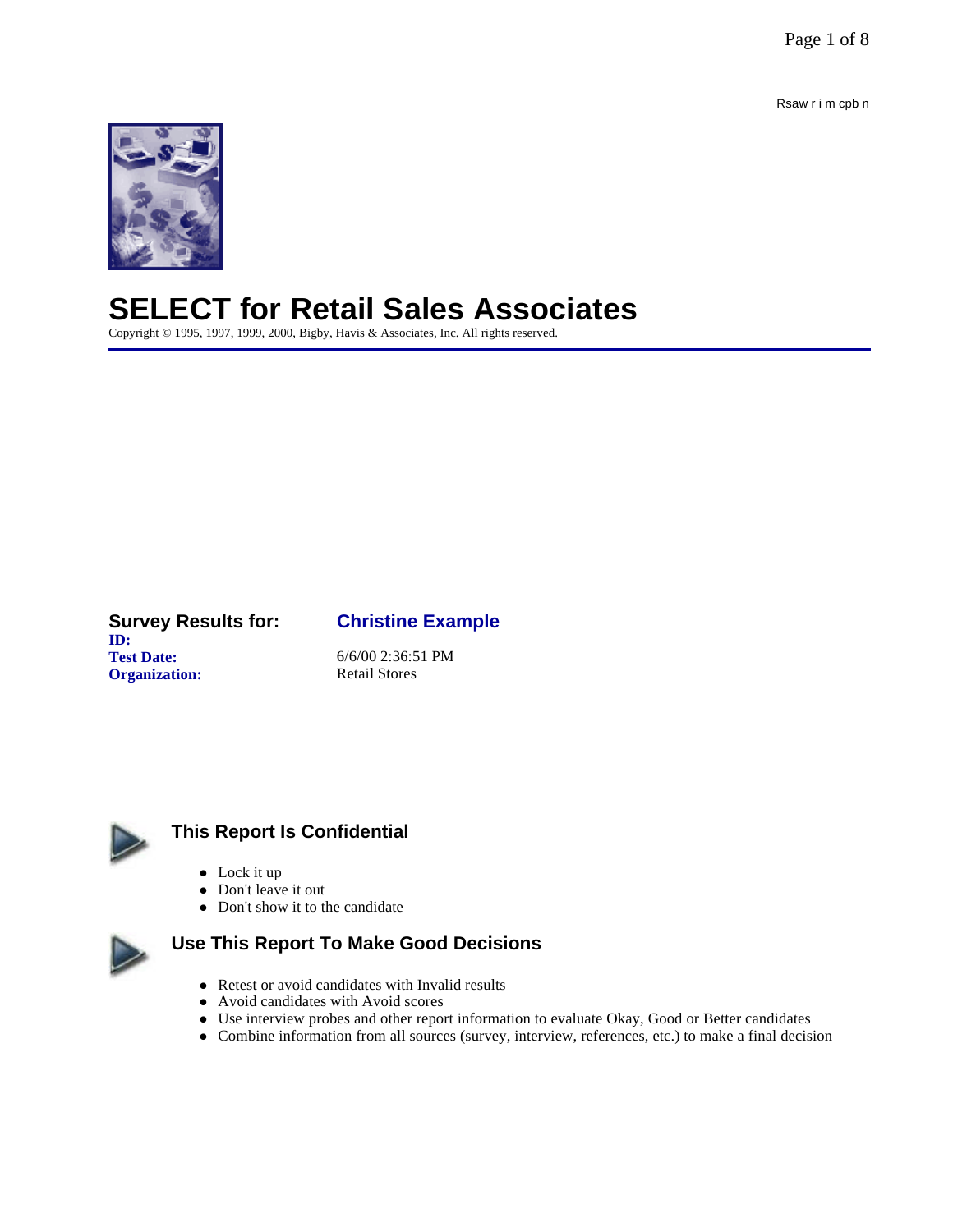Page 1 of 8

Rsaw r i m cpb n



# **SELECT for Retail Sales Associates**

Copyright © 1995, 1997, 1999, 2000, Bigby, Havis & Associates, Inc. All rights reserved.

#### **Survey Results for: Christine Example ID: Test Date:** 6/6/00 2:36:51 PM **Organization:** Retail Stores



# **This Report Is Confidential**

- $\bullet$  Lock it up
- Don't leave it out
- Don't show it to the candidate



# **Use This Report To Make Good Decisions**

- Retest or avoid candidates with Invalid results
- Avoid candidates with Avoid scores
- Use interview probes and other report information to evaluate Okay, Good or Better candidates
- l Combine information from all sources (survey, interview, references, etc.) to make a final decision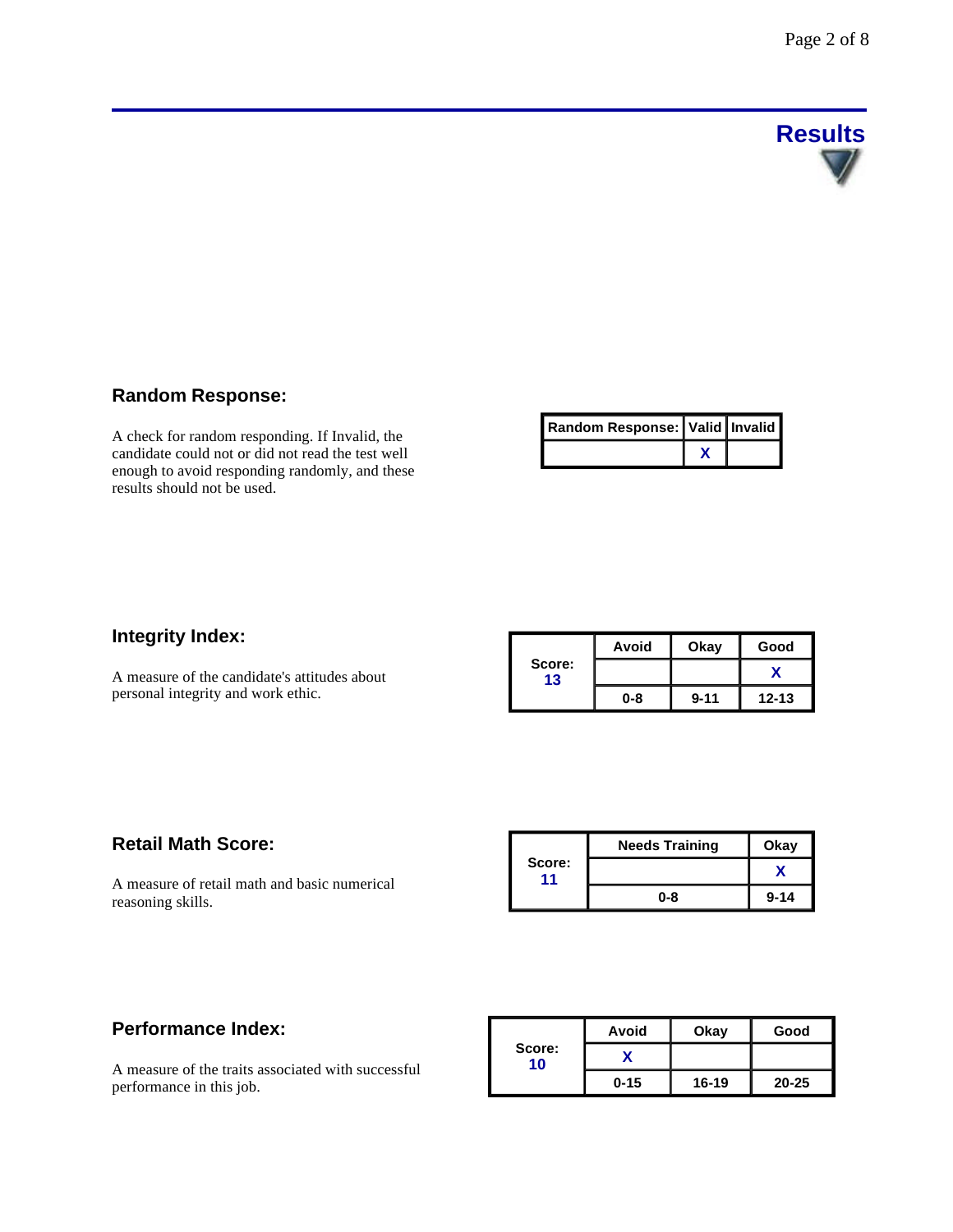

# **Random Response:**

A check for random responding. If Invalid, the candidate could not or did not read the test well enough to avoid responding randomly, and these results should not be used.

| Random Response:   Valid   Invalid |  |
|------------------------------------|--|
|                                    |  |

# **Integrity Index:**

A measure of the candidate's attitudes about personal integrity and work ethic.

|              | Avoid | Okay     | Good      |
|--------------|-------|----------|-----------|
| Score:<br>13 |       |          |           |
|              | 0-8   | $9 - 11$ | $12 - 13$ |

# **Retail Math Score:**

A measure of retail math and basic numerical reasoning skills.

|              | <b>Needs Training</b> | Okay     |
|--------------|-----------------------|----------|
| Score:<br>11 |                       |          |
|              | $0 - 8$               | $9 - 14$ |

# **Performance Index:**

A measure of the traits associated with successful performance in this job.

|              | Avoid    | Okay      | Good      |
|--------------|----------|-----------|-----------|
| Score:<br>10 |          |           |           |
|              | $0 - 15$ | $16 - 19$ | $20 - 25$ |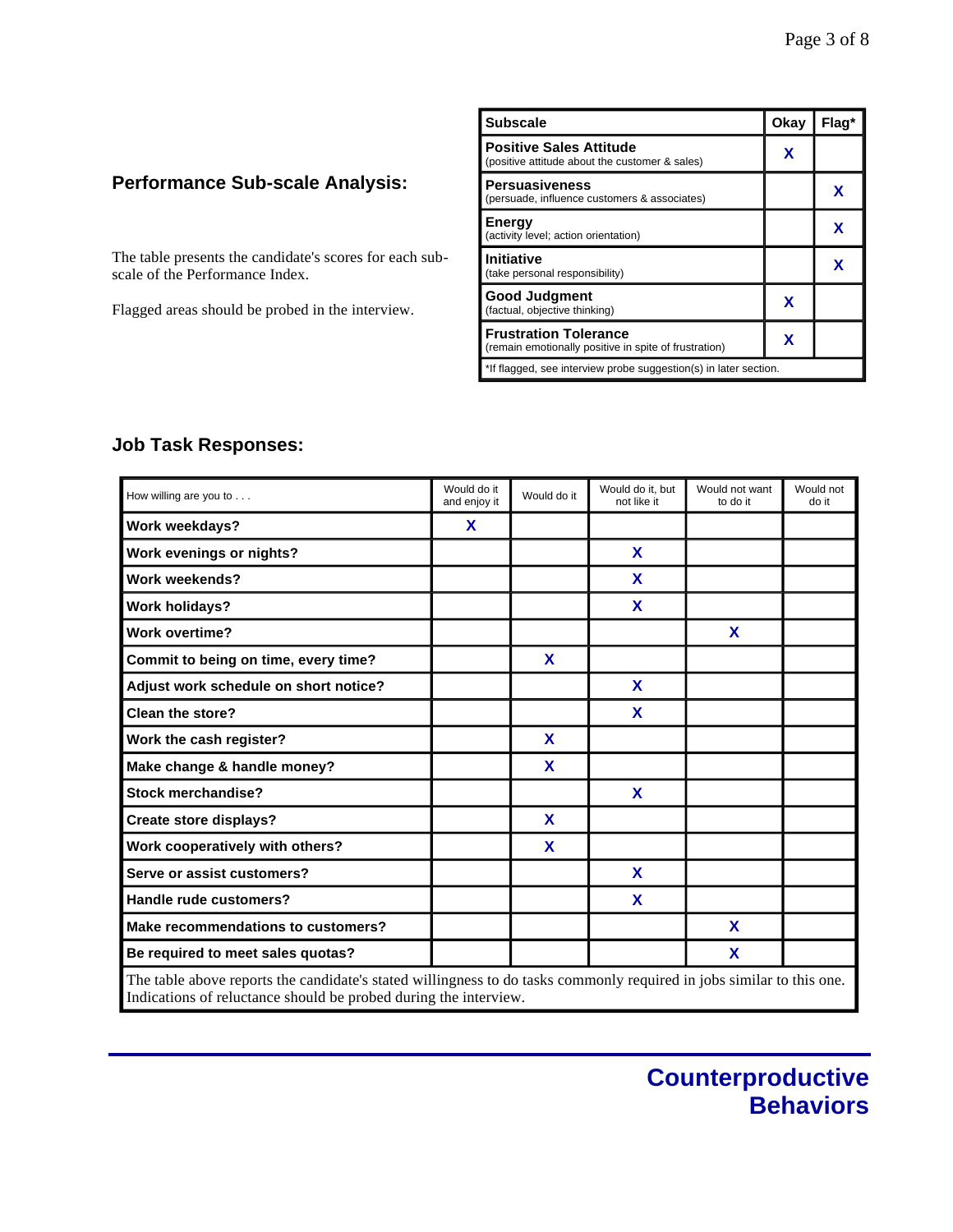# **Performance Sub-scale Analysis:**

The table presents the candidate's scores for each subscale of the Performance Index.

Flagged areas should be probed in the interview.

| <b>Subscale</b>                                                                       | Okay | Flaq* |
|---------------------------------------------------------------------------------------|------|-------|
| <b>Positive Sales Attitude</b><br>(positive attitude about the customer & sales)      | x    |       |
| <b>Persuasiveness</b><br>(persuade, influence customers & associates)                 |      | x     |
| Energy<br>(activity level; action orientation)                                        |      | x     |
| <b>Initiative</b><br>(take personal responsibility)                                   |      | x     |
| Good Judgment<br>(factual, objective thinking)                                        | x    |       |
| <b>Frustration Tolerance</b><br>(remain emotionally positive in spite of frustration) | x    |       |
| *If flagged, see interview probe suggestion(s) in later section.                      |      |       |

# **Job Task Responses:**

| How willing are you to                                                                                                | Would do it<br>and enjoy it | Would do it | Would do it, but<br>not like it | Would not want<br>to do it | Would not<br>do it |
|-----------------------------------------------------------------------------------------------------------------------|-----------------------------|-------------|---------------------------------|----------------------------|--------------------|
| Work weekdays?                                                                                                        | X                           |             |                                 |                            |                    |
| Work evenings or nights?                                                                                              |                             |             | X                               |                            |                    |
| Work weekends?                                                                                                        |                             |             | X                               |                            |                    |
| <b>Work holidays?</b>                                                                                                 |                             |             | X                               |                            |                    |
| <b>Work overtime?</b>                                                                                                 |                             |             |                                 | X                          |                    |
| Commit to being on time, every time?                                                                                  |                             | X           |                                 |                            |                    |
| Adjust work schedule on short notice?                                                                                 |                             |             | X                               |                            |                    |
| <b>Clean the store?</b>                                                                                               |                             |             | X                               |                            |                    |
| Work the cash register?                                                                                               |                             | X           |                                 |                            |                    |
| Make change & handle money?                                                                                           |                             | X           |                                 |                            |                    |
| <b>Stock merchandise?</b>                                                                                             |                             |             | X                               |                            |                    |
| Create store displays?                                                                                                |                             | X           |                                 |                            |                    |
| Work cooperatively with others?                                                                                       |                             | X           |                                 |                            |                    |
| Serve or assist customers?                                                                                            |                             |             | X                               |                            |                    |
| Handle rude customers?                                                                                                |                             |             | X                               |                            |                    |
| Make recommendations to customers?                                                                                    |                             |             |                                 | X                          |                    |
| Be required to meet sales quotas?                                                                                     |                             |             |                                 | X                          |                    |
| The table above reports the candidate's stated willingness to do tasks commonly required in jobs similar to this one. |                             |             |                                 |                            |                    |

The table above reports the candidate's stated willingness to do tasks commonly required in jobs similar to this one. Indications of reluctance should be probed during the interview.

I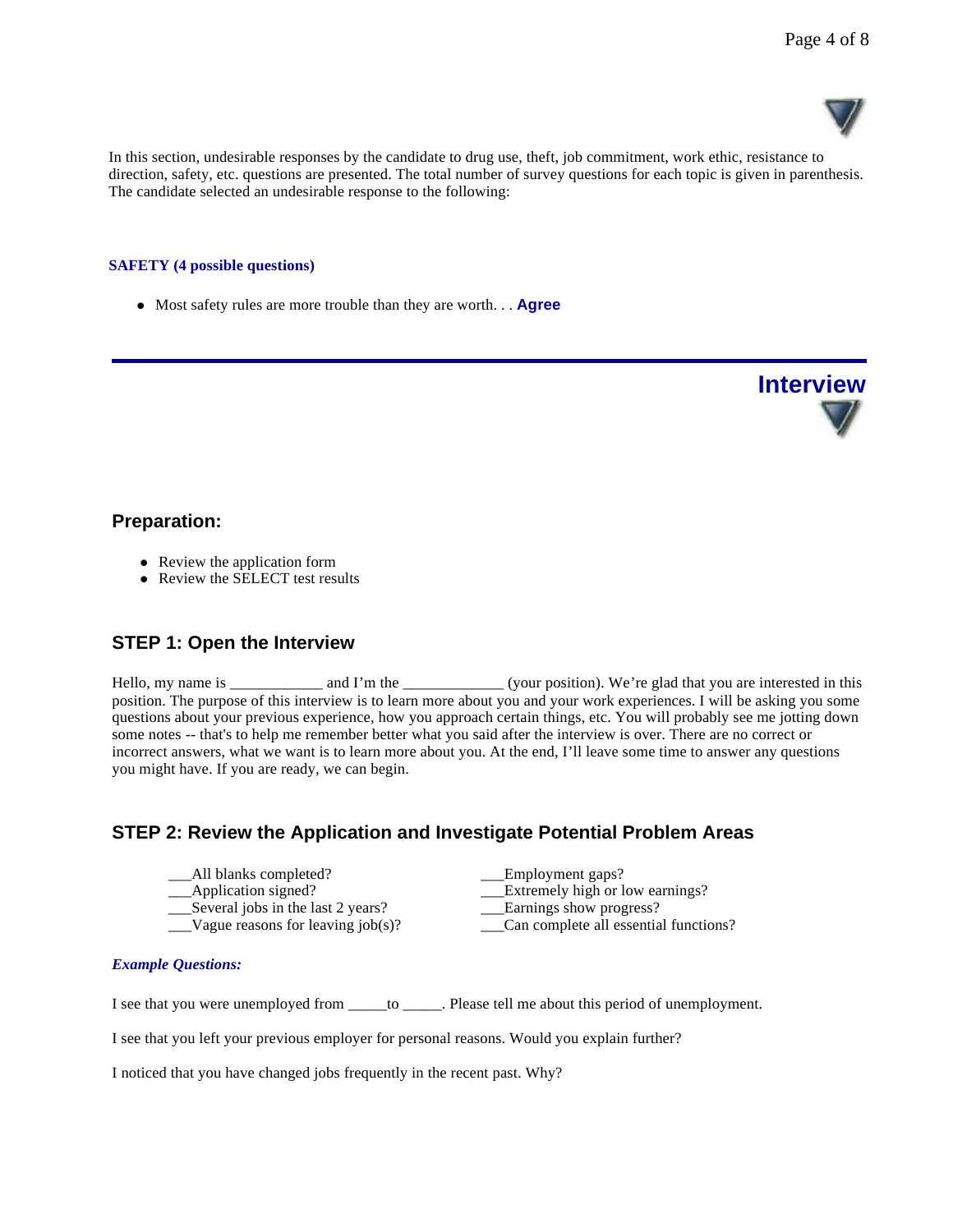

In this section, undesirable responses by the candidate to drug use, theft, job commitment, work ethic, resistance to direction, safety, etc. questions are presented. The total number of survey questions for each topic is given in parenthesis. The candidate selected an undesirable response to the following:

#### **SAFETY (4 possible questions)**

• Most safety rules are more trouble than they are worth. . . **Agree** 



### **Preparation:**

- Review the application form
- Review the SELECT test results

# **STEP 1: Open the Interview**

Hello, my name is \_\_\_\_\_\_\_\_\_\_\_ and I'm the \_\_\_\_\_\_\_\_\_\_\_\_\_(your position). We're glad that you are interested in this position. The purpose of this interview is to learn more about you and your work experiences. I will be asking you some questions about your previous experience, how you approach certain things, etc. You will probably see me jotting down some notes -- that's to help me remember better what you said after the interview is over. There are no correct or incorrect answers, what we want is to learn more about you. At the end, I'll leave some time to answer any questions you might have. If you are ready, we can begin.

# **STEP 2: Review the Application and Investigate Potential Problem Areas**

| All blanks completed?                | Employment gaps?                      |
|--------------------------------------|---------------------------------------|
| __Application signed?                | Extremely high or low earnings?       |
| Several jobs in the last 2 years?    | Earnings show progress?               |
| Vague reasons for leaving $job(s)$ ? | Can complete all essential functions? |

#### *Example Questions:*

I see that you were unemployed from \_\_\_\_\_to \_\_\_\_\_. Please tell me about this period of unemployment.

I see that you left your previous employer for personal reasons. Would you explain further?

I noticed that you have changed jobs frequently in the recent past. Why?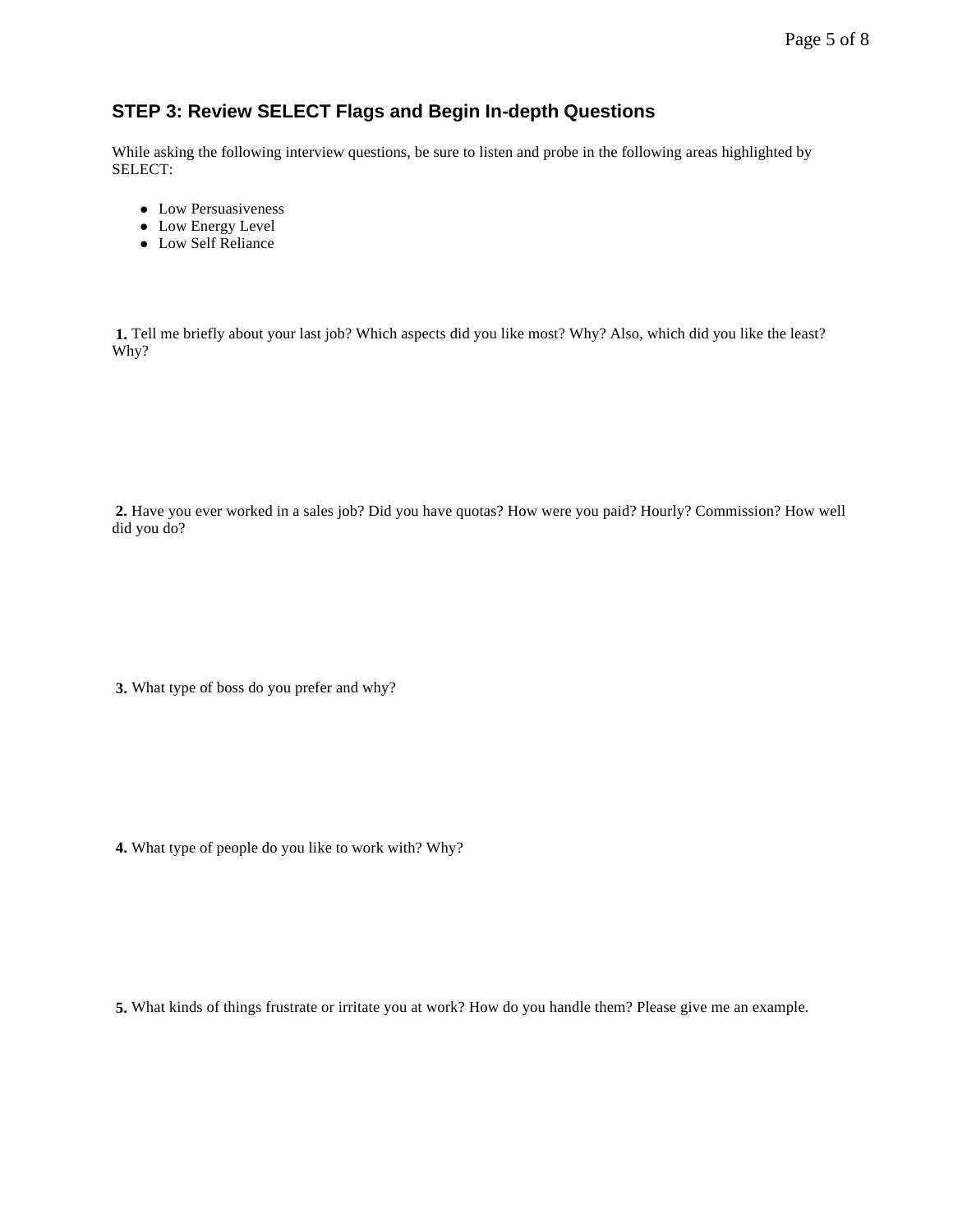# Page 5 of 8

# **STEP 3: Review SELECT Flags and Begin In-depth Questions**

While asking the following interview questions, be sure to listen and probe in the following areas highlighted by SELECT:

- Low Persuasiveness
- Low Energy Level
- Low Self Reliance

**1.** Tell me briefly about your last job? Which aspects did you like most? Why? Also, which did you like the least? Why?

**2.** Have you ever worked in a sales job? Did you have quotas? How were you paid? Hourly? Commission? How well did you do?

**3.** What type of boss do you prefer and why?

**4.** What type of people do you like to work with? Why?

**5.** What kinds of things frustrate or irritate you at work? How do you handle them? Please give me an example.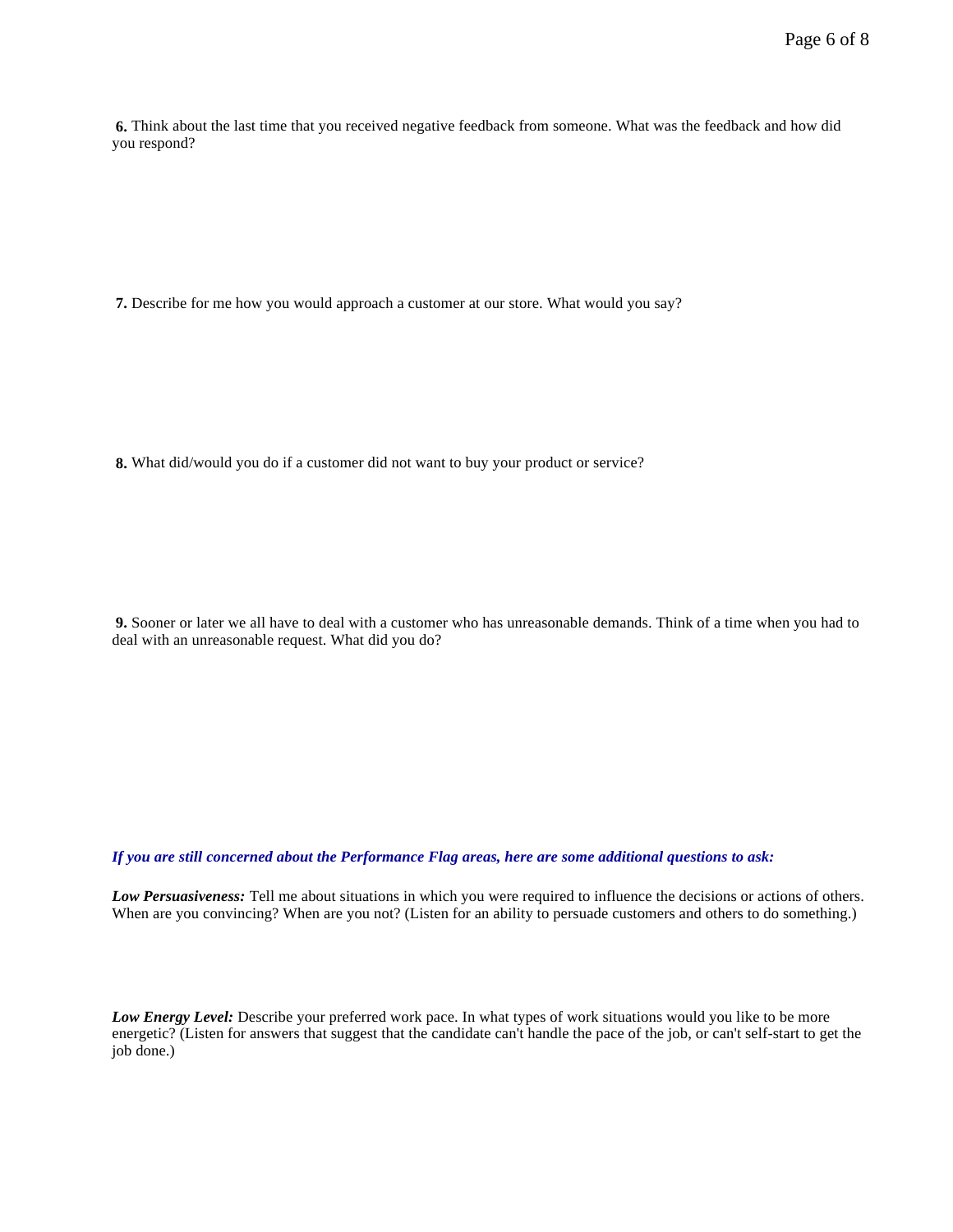**6.** Think about the last time that you received negative feedback from someone. What was the feedback and how did you respond?

**7.** Describe for me how you would approach a customer at our store. What would you say?

**8.** What did/would you do if a customer did not want to buy your product or service?

**9.** Sooner or later we all have to deal with a customer who has unreasonable demands. Think of a time when you had to deal with an unreasonable request. What did you do?

#### *If you are still concerned about the Performance Flag areas, here are some additional questions to ask:*

*Low Persuasiveness:* Tell me about situations in which you were required to influence the decisions or actions of others. When are you convincing? When are you not? (Listen for an ability to persuade customers and others to do something.)

*Low Energy Level:* Describe your preferred work pace. In what types of work situations would you like to be more energetic? (Listen for answers that suggest that the candidate can't handle the pace of the job, or can't self-start to get the job done.)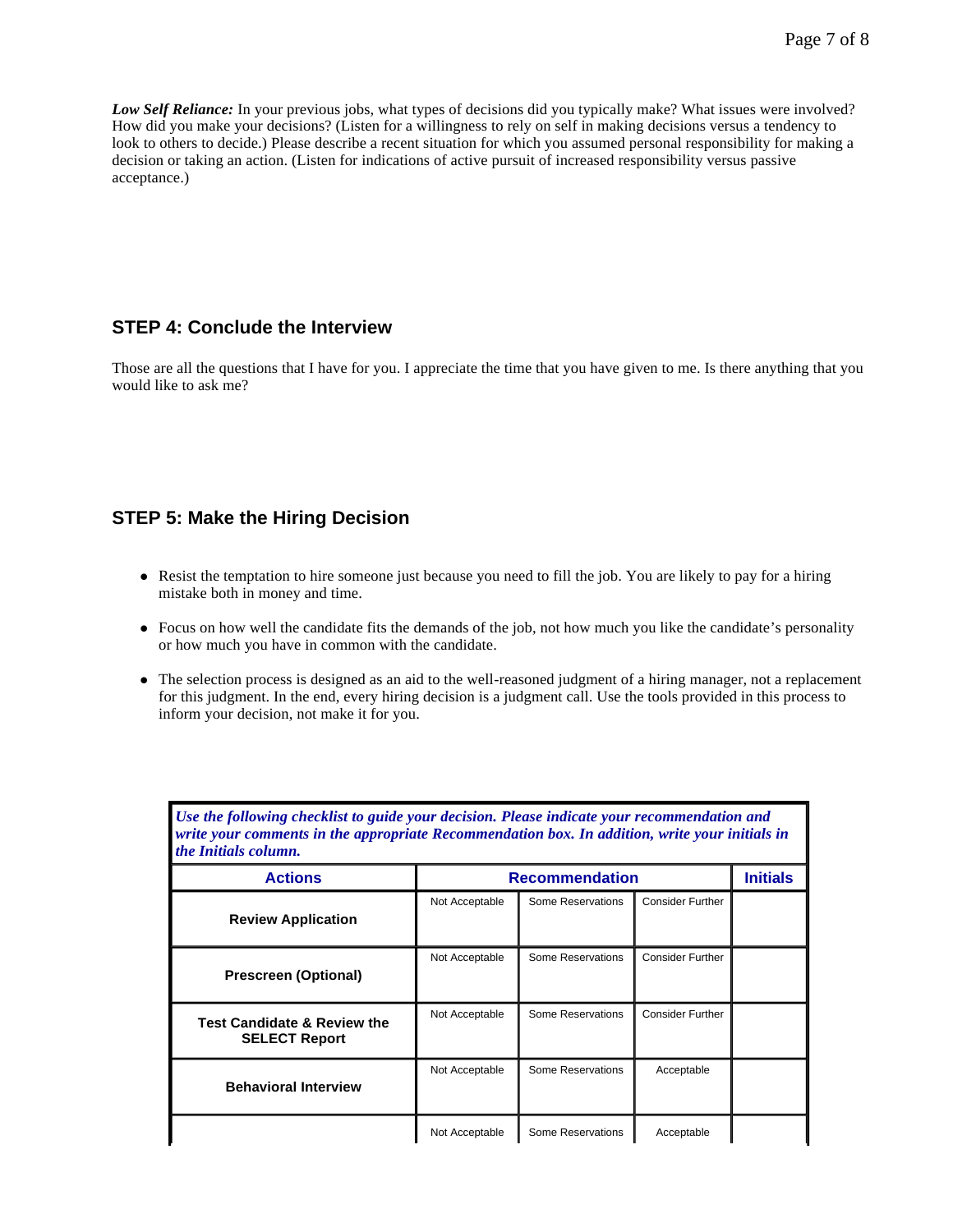ı

*Low Self Reliance:* In your previous jobs, what types of decisions did you typically make? What issues were involved? How did you make your decisions? (Listen for a willingness to rely on self in making decisions versus a tendency to look to others to decide.) Please describe a recent situation for which you assumed personal responsibility for making a decision or taking an action. (Listen for indications of active pursuit of increased responsibility versus passive acceptance.)

# **STEP 4: Conclude the Interview**

Those are all the questions that I have for you. I appreciate the time that you have given to me. Is there anything that you would like to ask me?

# **STEP 5: Make the Hiring Decision**

- Resist the temptation to hire someone just because you need to fill the job. You are likely to pay for a hiring mistake both in money and time.
- Focus on how well the candidate fits the demands of the job, not how much you like the candidate's personality or how much you have in common with the candidate.
- l The selection process is designed as an aid to the well-reasoned judgment of a hiring manager, not a replacement for this judgment. In the end, every hiring decision is a judgment call. Use the tools provided in this process to inform your decision, not make it for you.

| write your comments in the appropriate Recommendation box. In addition, write your initials in<br>the Initials column. |                       |                   |                         |                 |
|------------------------------------------------------------------------------------------------------------------------|-----------------------|-------------------|-------------------------|-----------------|
| <b>Actions</b>                                                                                                         | <b>Recommendation</b> |                   |                         | <b>Initials</b> |
| <b>Review Application</b>                                                                                              | Not Acceptable        | Some Reservations | <b>Consider Further</b> |                 |
| <b>Prescreen (Optional)</b>                                                                                            | Not Acceptable        | Some Reservations | <b>Consider Further</b> |                 |
| <b>Test Candidate &amp; Review the</b><br><b>SELECT Report</b>                                                         | Not Acceptable        | Some Reservations | <b>Consider Further</b> |                 |
| <b>Behavioral Interview</b>                                                                                            | Not Acceptable        | Some Reservations | Acceptable              |                 |
|                                                                                                                        | Not Acceptable        | Some Reservations | Acceptable              |                 |

*Use the following checklist to guide your decision. Please indicate your recommendation and*